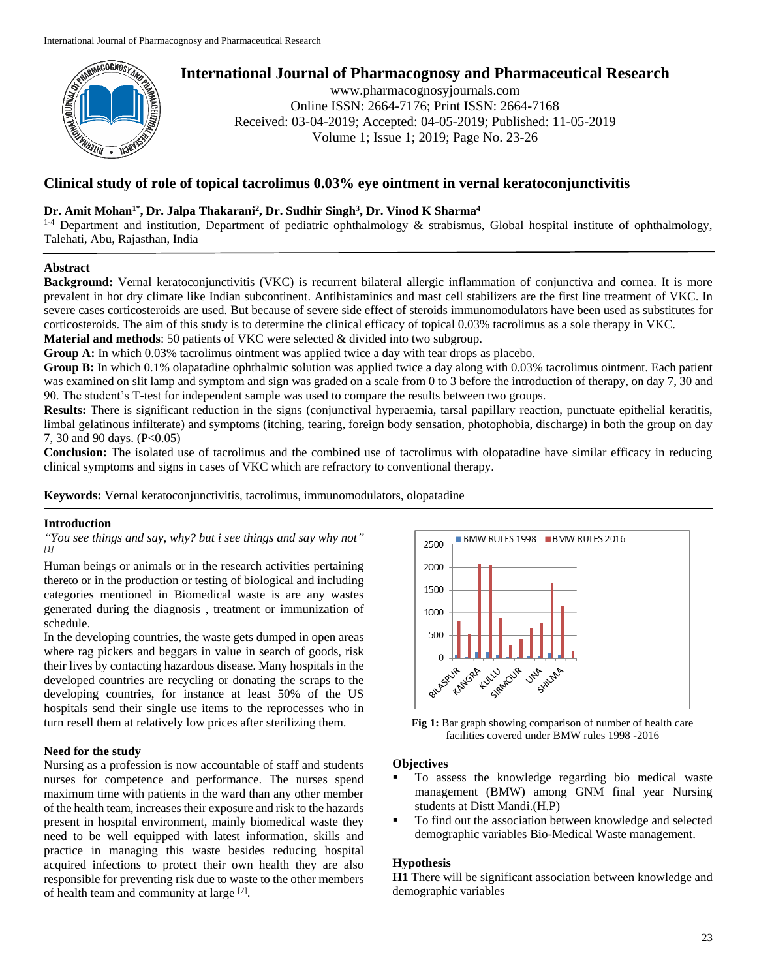

# **International Journal of Pharmacognosy and Pharmaceutical Research**

www.pharmacognosyjournals.com Online ISSN: 2664-7176; Print ISSN: 2664-7168 Received: 03-04-2019; Accepted: 04-05-2019; Published: 11-05-2019 Volume 1; Issue 1; 2019; Page No. 23-26

# **Clinical study of role of topical tacrolimus 0.03% eye ointment in vernal keratoconjunctivitis**

## **Dr. Amit Mohan1\* , Dr. Jalpa Thakarani<sup>2</sup> , Dr. Sudhir Singh<sup>3</sup> , Dr. Vinod K Sharma<sup>4</sup>**

 $1-4$  Department and institution, Department of pediatric ophthalmology & strabismus, Global hospital institute of ophthalmology, Talehati, Abu, Rajasthan, India

## **Abstract**

**Background:** Vernal keratoconjunctivitis (VKC) is recurrent bilateral allergic inflammation of conjunctiva and cornea. It is more prevalent in hot dry climate like Indian subcontinent. Antihistaminics and mast cell stabilizers are the first line treatment of VKC. In severe cases corticosteroids are used. But because of severe side effect of steroids immunomodulators have been used as substitutes for corticosteroids. The aim of this study is to determine the clinical efficacy of topical 0.03% tacrolimus as a sole therapy in VKC. **Material and methods**: 50 patients of VKC were selected & divided into two subgroup.

**Group A:** In which 0.03% tacrolimus ointment was applied twice a day with tear drops as placebo.

**Group B:** In which 0.1% olapatadine ophthalmic solution was applied twice a day along with 0.03% tacrolimus ointment. Each patient was examined on slit lamp and symptom and sign was graded on a scale from 0 to 3 before the introduction of therapy, on day 7, 30 and 90. The student's T-test for independent sample was used to compare the results between two groups.

**Results:** There is significant reduction in the signs (conjunctival hyperaemia, tarsal papillary reaction, punctuate epithelial keratitis, limbal gelatinous infilterate) and symptoms (itching, tearing, foreign body sensation, photophobia, discharge) in both the group on day 7, 30 and 90 days. (P<0.05)

**Conclusion:** The isolated use of tacrolimus and the combined use of tacrolimus with olopatadine have similar efficacy in reducing clinical symptoms and signs in cases of VKC which are refractory to conventional therapy.

**Keywords:** Vernal keratoconjunctivitis, tacrolimus, immunomodulators, olopatadine

## **Introduction**

*"You see things and say, why? but i see things and say why not" [1]*

Human beings or animals or in the research activities pertaining thereto or in the production or testing of biological and including categories mentioned in Biomedical waste is are any wastes generated during the diagnosis , treatment or immunization of schedule.

In the developing countries, the waste gets dumped in open areas where rag pickers and beggars in value in search of goods, risk their lives by contacting hazardous disease. Many hospitals in the developed countries are recycling or donating the scraps to the developing countries, for instance at least 50% of the US hospitals send their single use items to the reprocesses who in turn resell them at relatively low prices after sterilizing them.

## **Need for the study**

Nursing as a profession is now accountable of staff and students nurses for competence and performance. The nurses spend maximum time with patients in the ward than any other member of the health team, increases their exposure and risk to the hazards present in hospital environment, mainly biomedical waste they need to be well equipped with latest information, skills and practice in managing this waste besides reducing hospital acquired infections to protect their own health they are also responsible for preventing risk due to waste to the other members of health team and community at large [7].



Fig 1: Bar graph showing comparison of number of health care facilities covered under BMW rules 1998 -2016

## **Objectives**

- To assess the knowledge regarding bio medical waste management (BMW) among GNM final year Nursing students at Distt Mandi.(H.P)
- To find out the association between knowledge and selected demographic variables Bio-Medical Waste management.

## **Hypothesis**

**H1** There will be significant association between knowledge and demographic variables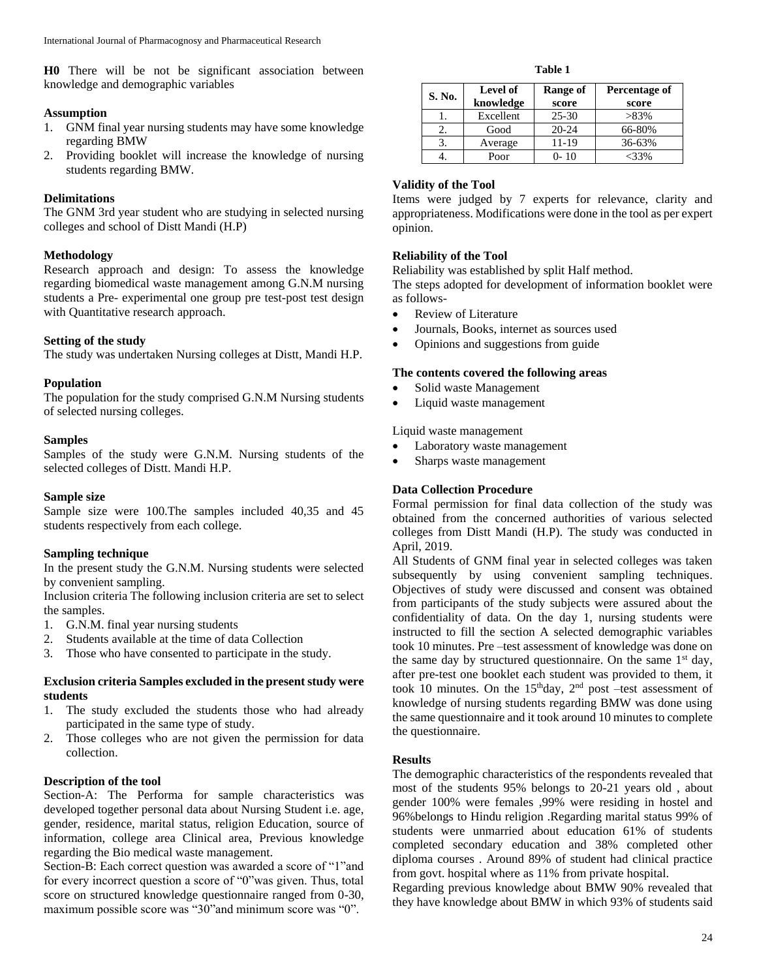**H0** There will be not be significant association between knowledge and demographic variables

#### **Assumption**

- 1. GNM final year nursing students may have some knowledge regarding BMW
- 2. Providing booklet will increase the knowledge of nursing students regarding BMW.

#### **Delimitations**

The GNM 3rd year student who are studying in selected nursing colleges and school of Distt Mandi (H.P)

#### **Methodology**

Research approach and design: To assess the knowledge regarding biomedical waste management among G.N.M nursing students a Pre- experimental one group pre test-post test design with Quantitative research approach.

#### **Setting of the study**

The study was undertaken Nursing colleges at Distt, Mandi H.P.

#### **Population**

The population for the study comprised G.N.M Nursing students of selected nursing colleges.

#### **Samples**

Samples of the study were G.N.M. Nursing students of the selected colleges of Distt. Mandi H.P.

#### **Sample size**

Sample size were 100.The samples included 40,35 and 45 students respectively from each college.

#### **Sampling technique**

In the present study the G.N.M. Nursing students were selected by convenient sampling.

Inclusion criteria The following inclusion criteria are set to select the samples.

- 1. G.N.M. final year nursing students
- 2. Students available at the time of data Collection
- 3. Those who have consented to participate in the study.

## **Exclusion criteria Samples excluded in the present study were students**

- 1. The study excluded the students those who had already participated in the same type of study.
- 2. Those colleges who are not given the permission for data collection.

## **Description of the tool**

Section-A: The Performa for sample characteristics was developed together personal data about Nursing Student i.e. age, gender, residence, marital status, religion Education, source of information, college area Clinical area, Previous knowledge regarding the Bio medical waste management.

Section-B: Each correct question was awarded a score of "1"and for every incorrect question a score of "0"was given. Thus, total score on structured knowledge questionnaire ranged from 0-30, maximum possible score was "30"and minimum score was "0".

**Table 1**

| S. No. | <b>Level of</b><br>knowledge | Range of<br>score | Percentage of<br>score |
|--------|------------------------------|-------------------|------------------------|
|        | Excellent                    | $25 - 30$         | $>83\%$                |
|        | Good                         | $20 - 24$         | 66-80%                 |
|        | Average                      | 11-19             | 36-63%                 |
|        | Poor                         | $0 - 10$          | -33%                   |

#### **Validity of the Tool**

Items were judged by 7 experts for relevance, clarity and appropriateness. Modifications were done in the tool as per expert opinion.

#### **Reliability of the Tool**

Reliability was established by split Half method.

The steps adopted for development of information booklet were as follows-

- Review of Literature
- Journals, Books, internet as sources used
- Opinions and suggestions from guide

#### **The contents covered the following areas**

- Solid waste Management
- Liquid waste management

#### Liquid waste management

- Laboratory waste management
- Sharps waste management

#### **Data Collection Procedure**

Formal permission for final data collection of the study was obtained from the concerned authorities of various selected colleges from Distt Mandi (H.P). The study was conducted in April, 2019.

All Students of GNM final year in selected colleges was taken subsequently by using convenient sampling techniques. Objectives of study were discussed and consent was obtained from participants of the study subjects were assured about the confidentiality of data. On the day 1, nursing students were instructed to fill the section A selected demographic variables took 10 minutes. Pre –test assessment of knowledge was done on the same day by structured questionnaire. On the same  $1<sup>st</sup>$  day, after pre-test one booklet each student was provided to them, it took 10 minutes. On the  $15<sup>th</sup>day$ ,  $2<sup>nd</sup>$  post –test assessment of knowledge of nursing students regarding BMW was done using the same questionnaire and it took around 10 minutes to complete the questionnaire.

#### **Results**

The demographic characteristics of the respondents revealed that most of the students 95% belongs to 20-21 years old , about gender 100% were females ,99% were residing in hostel and 96%belongs to Hindu religion .Regarding marital status 99% of students were unmarried about education 61% of students completed secondary education and 38% completed other diploma courses . Around 89% of student had clinical practice from govt. hospital where as 11% from private hospital.

Regarding previous knowledge about BMW 90% revealed that they have knowledge about BMW in which 93% of students said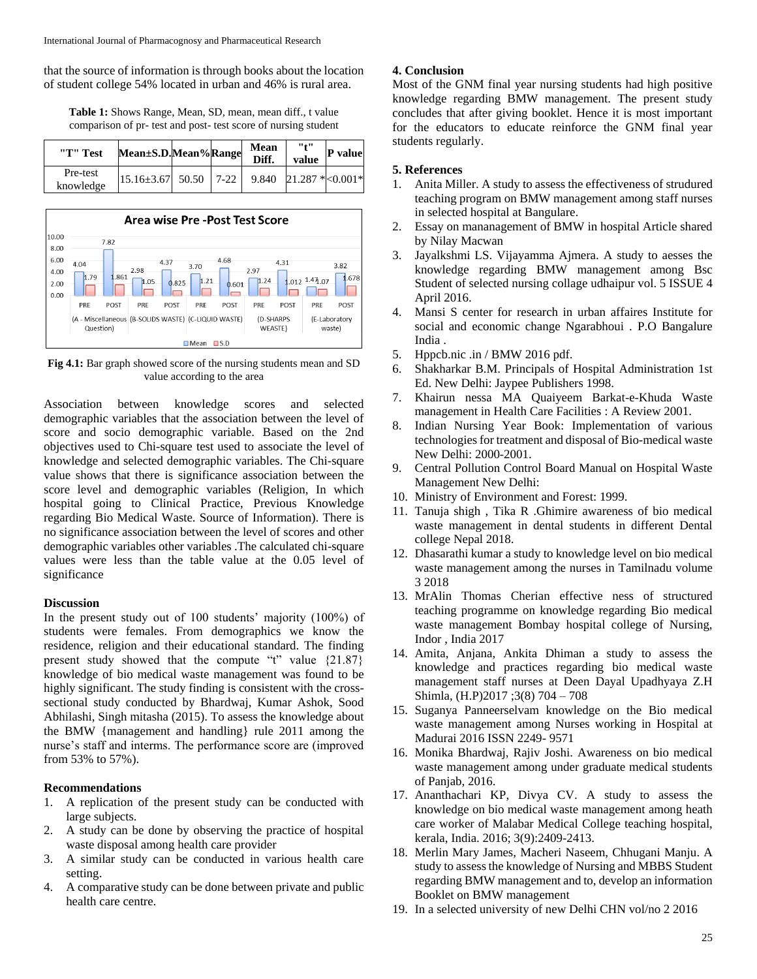that the source of information is through books about the location of student college 54% located in urban and 46% is rural area.

**Table 1:** Shows Range, Mean, SD, mean, mean diff., t value comparison of pr- test and post- test score of nursing student

| "T" Test              | Mean±S.D.Mean%Range               |  | Mean<br>Diff. | "11"<br>value                      | P value |
|-----------------------|-----------------------------------|--|---------------|------------------------------------|---------|
| Pre-test<br>knowledge | $15.16 \pm 3.67$ 50.50 $\pm 7-22$ |  |               | 9.840 21.287 $\ast$ < 0.001 $\ast$ |         |



**Fig 4.1:** Bar graph showed score of the nursing students mean and SD value according to the area

Association between knowledge scores and selected demographic variables that the association between the level of score and socio demographic variable. Based on the 2nd objectives used to Chi-square test used to associate the level of knowledge and selected demographic variables. The Chi-square value shows that there is significance association between the score level and demographic variables (Religion, In which hospital going to Clinical Practice, Previous Knowledge regarding Bio Medical Waste. Source of Information). There is no significance association between the level of scores and other demographic variables other variables .The calculated chi-square values were less than the table value at the 0.05 level of significance

## **Discussion**

In the present study out of 100 students' majority (100%) of students were females. From demographics we know the residence, religion and their educational standard. The finding present study showed that the compute "t" value {21.87} knowledge of bio medical waste management was found to be highly significant. The study finding is consistent with the crosssectional study conducted by Bhardwaj, Kumar Ashok, Sood Abhilashi, Singh mitasha (2015). To assess the knowledge about the BMW {management and handling} rule 2011 among the nurse's staff and interms. The performance score are (improved from 53% to 57%).

## **Recommendations**

- 1. A replication of the present study can be conducted with large subjects.
- 2. A study can be done by observing the practice of hospital waste disposal among health care provider
- 3. A similar study can be conducted in various health care setting.
- 4. A comparative study can be done between private and public health care centre.

## **4. Conclusion**

Most of the GNM final year nursing students had high positive knowledge regarding BMW management. The present study concludes that after giving booklet. Hence it is most important for the educators to educate reinforce the GNM final year students regularly.

# **5. References**

- 1. Anita Miller. A study to assess the effectiveness of strudured teaching program on BMW management among staff nurses in selected hospital at Bangulare.
- 2. Essay on mananagement of BMW in hospital Article shared by Nilay Macwan
- 3. Jayalkshmi LS. Vijayamma Ajmera. A study to aesses the knowledge regarding BMW management among Bsc Student of selected nursing collage udhaipur vol. 5 ISSUE 4 April 2016.
- 4. Mansi S center for research in urban affaires Institute for social and economic change Ngarabhoui . P.O Bangalure India .
- 5. Hppcb.nic .in / BMW 2016 pdf.
- 6. Shakharkar B.M. Principals of Hospital Administration 1st Ed. New Delhi: Jaypee Publishers 1998.
- 7. Khairun nessa MA Quaiyeem Barkat-e-Khuda Waste management in Health Care Facilities : A Review 2001.
- 8. Indian Nursing Year Book: Implementation of various technologies for treatment and disposal of Bio-medical waste New Delhi: 2000-2001.
- 9. Central Pollution Control Board Manual on Hospital Waste Management New Delhi:
- 10. Ministry of Environment and Forest: 1999.
- 11. Tanuja shigh , Tika R .Ghimire awareness of bio medical waste management in dental students in different Dental college Nepal 2018.
- 12. Dhasarathi kumar a study to knowledge level on bio medical waste management among the nurses in Tamilnadu volume 3 2018
- 13. MrAlin Thomas Cherian effective ness of structured teaching programme on knowledge regarding Bio medical waste management Bombay hospital college of Nursing, Indor , India 2017
- 14. Amita, Anjana, Ankita Dhiman a study to assess the knowledge and practices regarding bio medical waste management staff nurses at Deen Dayal Upadhyaya Z.H Shimla, (H.P)2017 ;3(8) 704 – 708
- 15. Suganya Panneerselvam knowledge on the Bio medical waste management among Nurses working in Hospital at Madurai 2016 ISSN 2249- 9571
- 16. Monika Bhardwaj, Rajiv Joshi. Awareness on bio medical waste management among under graduate medical students of Panjab, 2016.
- 17. Ananthachari KP, Divya CV. A study to assess the knowledge on bio medical waste management among heath care worker of Malabar Medical College teaching hospital, kerala, India. 2016; 3(9):2409-2413.
- 18. Merlin Mary James, Macheri Naseem, Chhugani Manju. A study to assess the knowledge of Nursing and MBBS Student regarding BMW management and to, develop an information Booklet on BMW management
- 19. In a selected university of new Delhi CHN vol/no 2 2016